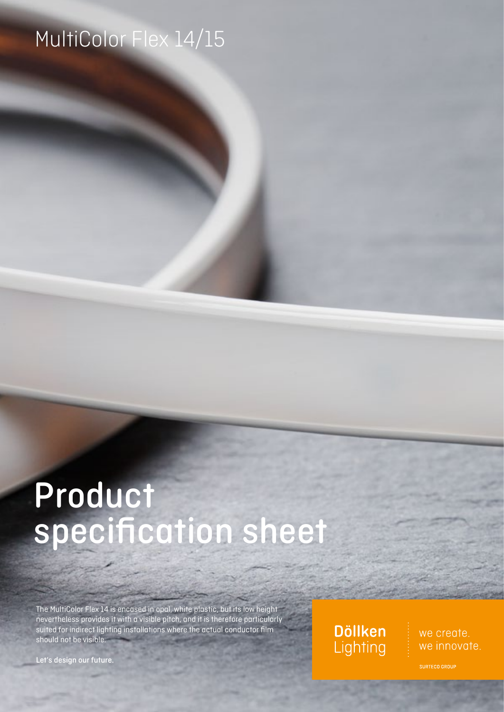# MultiColor Flex 14/15

# Product specification sheet

The MultiColor Flex 14 is encased in opal, white plastic, but its low height nevertheless provides it with a visible pitch, and it is therefore particularly suited for indirect lighting installations where the actual conductor film should not be visible.

Let's design our future.

**Döllken** Lighting

we create. we innovate.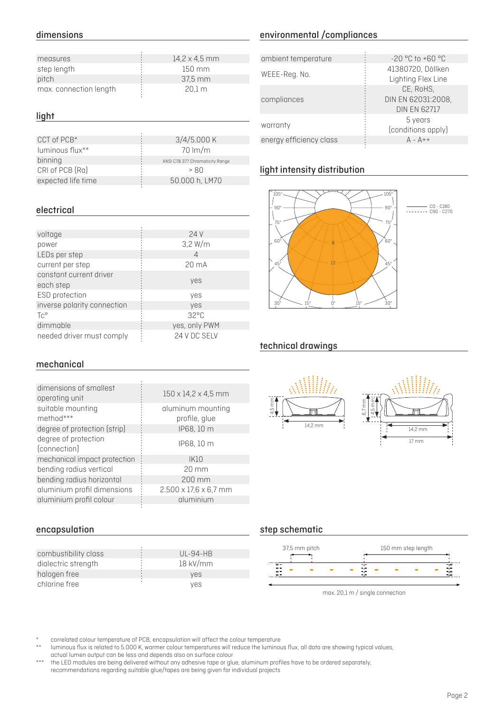# dimensions

| $14.2 \times 4.5$ mm |
|----------------------|
| $150 \text{ mm}$     |
| 37,5 mm              |
| 20.1 <sub>m</sub>    |
|                      |

#### light

| CCT of PCB*        | 3/4/5.000K                      | energy efficiency class |
|--------------------|---------------------------------|-------------------------|
| luminous flux**    | $70 \, \mathrm{Im/m}$           |                         |
| binning            | ANSI C78.377 Chromaticity Range |                         |
| CRI of PCB (Ra)    | > 80                            | light intensity distri  |
| expected life time | 50.000 h, LM70                  |                         |

### electrical

| voltage                     | 24 V            |
|-----------------------------|-----------------|
| power                       | $3,2$ W/m       |
| LEDs per step               | Δ               |
| current per step            | $20 \text{ mA}$ |
| constant current driver     |                 |
| each step                   | yes             |
| ESD protection              | yes             |
| inverse polarity connection | yes             |
| $\text{TC}^{\circ}$         | $32^{\circ}$ C  |
| dimmable                    | yes, only PWM   |
| needed driver must comply   | 24 V DC SELV    |

# environmental /compliances

| 4,2 x 4,5 mm | ambient temperature     | $-20$ °C to $+60$ °C      |
|--------------|-------------------------|---------------------------|
| 150 mm       |                         | 41380720, Döllken         |
| 37,5 mm      | WEEE-Reg. No.           | <b>Lighting Flex Line</b> |
| 20,1 m       |                         | CE, RoHS,                 |
|              | compliances             | DIN EN 62031:2008,        |
|              |                         | <b>DIN EN 62717</b>       |
|              |                         | 5 years                   |
|              | warranty                | (conditions apply)        |
| 3/4/5.000 K  | energy efficiency class | $A - A$ ++                |
|              |                         |                           |

# light intensity distribution



C0 - C180 C90 - C270

# technical drawings

### mechanical

| dimensions of smallest<br>operating unit | 150 x 14,2 x 4,5 mm               |
|------------------------------------------|-----------------------------------|
| suitable mounting                        | aluminum mounting                 |
| method***                                | profile, glue                     |
| degree of protection (strip)             | IP68, 10 m                        |
| degree of protection<br>(connection)     | IP68, 10 m                        |
| mechanical impact protection             | IK10                              |
| bending radius vertical                  | $20 \text{ mm}$                   |
| bending radius horizontal                | 200 mm                            |
| aluminium profil dimensions              | $2.500 \times 17.6 \times 6.7$ mm |
| aluminium profil colour                  | aluminium                         |
|                                          |                                   |

### encapsulation

| combustibility class | $UL-94-HB$ |
|----------------------|------------|
| dialectric strength  | 18 kV/mm   |
| halogen free         | ves        |
| chlorine free        | ves        |



# step schematic



correlated colour temperature of PCB, encapsulation will affect the colour temperature \*

luminous flux is related to 5.000 K, warmer colour temperatures will reduce the luminous flux, all data are showing typical values, actual lumen output can be less and depends also on surface colour \*\*

the LED modules are being delivered without any adhesive tape or glue, aluminum profiles have to be ordered separately, recommendations regarding suitable glue/tapes are being given for individual projects \*\*\*